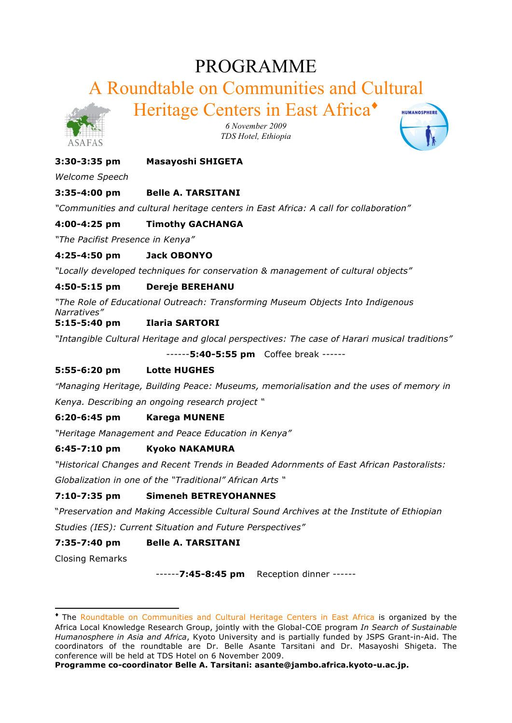# PROGRAMME

A Roundtable on Communities and Cultural

Heritage Centers in East Africa♦



*6 November 2009 TDS Hotel, Ethiopia*



# **3:30-3:35 pm Masayoshi SHIGETA**

*Welcome Speech*

# **3:35-4:00 pm Belle A. TARSITANI**

*"Communities and cultural heritage centers in East Africa: A call for collaboration"*

# **4:00-4:25 pm Timothy GACHANGA**

*"The Pacifist Presence in Kenya"*

#### **4:25-4:50 pm Jack OBONYO**

*"Locally developed techniques for conservation & management of cultural objects"*

# **4:50-5:15 pm Dereje BEREHANU**

*"The Role of Educational Outreach: Transforming Museum Objects Into Indigenous Narratives"*

# **5:15-5:40 pm Ilaria SARTORI**

*"Intangible Cultural Heritage and glocal perspectives: The case of Harari musical traditions"*

------**5:40-5:55 pm** Coffee break ------

# **5:55-6:20 pm Lotte HUGHES**

*"Managing Heritage, Building Peace: Museums, memorialisation and the uses of memory in Kenya. Describing an ongoing research project "*

# **6:20-6:45 pm Karega MUNENE**

*"Heritage Management and Peace Education in Kenya"*

# **6:45-7:10 pm Kyoko NAKAMURA**

*"Historical Changes and Recent Trends in Beaded Adornments of East African Pastoralists:* 

*Globalization in one of the "Traditional" African Arts "*

# **7:10-7:35 pm Simeneh BETREYOHANNES**

"*Preservation and Making Accessible Cultural Sound Archives at the Institute of Ethiopian Studies (IES): Current Situation and Future Perspectives"*

# **7:35-7:40 pm Belle A. TARSITANI**

Closing Remarks

------**7:45-8:45 pm** Reception dinner ------

**Programme co-coordinator Belle A. Tarsitani: asante@jambo.africa.kyoto-u.ac.jp.**

<sup>♦</sup> The Roundtable on Communities and Cultural Heritage Centers in East Africa is organized by the Africa Local Knowledge Research Group, jointly with the Global-COE program *In Search of Sustainable Humanosphere in Asia and Africa*, Kyoto University and is partially funded by JSPS Grant-in-Aid. The coordinators of the roundtable are Dr. Belle Asante Tarsitani and Dr. Masayoshi Shigeta. The conference will be held at TDS Hotel on 6 November 2009.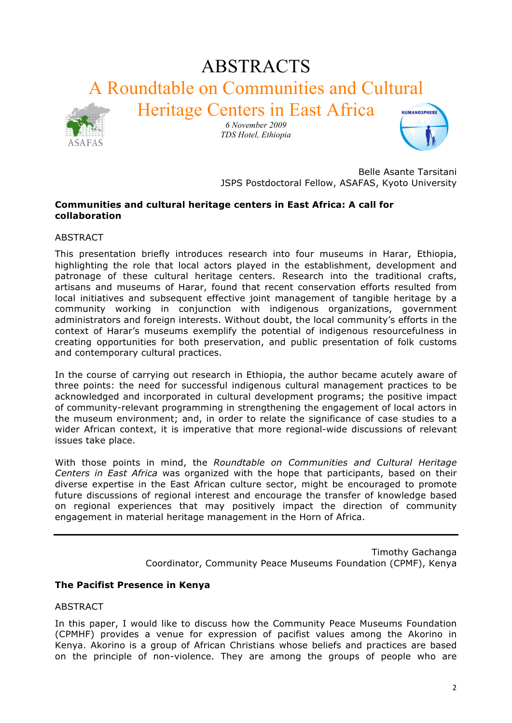# ABSTRACTS A Roundtable on Communities and Cultural Heritage Centers in East Africa



*6 November 2009 TDS Hotel, Ethiopia*



Belle Asante Tarsitani JSPS Postdoctoral Fellow, ASAFAS, Kyoto University

#### **Communities and cultural heritage centers in East Africa: A call for collaboration**

ABSTRACT

This presentation briefly introduces research into four museums in Harar, Ethiopia, highlighting the role that local actors played in the establishment, development and patronage of these cultural heritage centers. Research into the traditional crafts, artisans and museums of Harar, found that recent conservation efforts resulted from local initiatives and subsequent effective joint management of tangible heritage by a community working in conjunction with indigenous organizations, government administrators and foreign interests. Without doubt, the local community's efforts in the context of Harar's museums exemplify the potential of indigenous resourcefulness in creating opportunities for both preservation, and public presentation of folk customs and contemporary cultural practices.

In the course of carrying out research in Ethiopia, the author became acutely aware of three points: the need for successful indigenous cultural management practices to be acknowledged and incorporated in cultural development programs; the positive impact of community-relevant programming in strengthening the engagement of local actors in the museum environment; and, in order to relate the significance of case studies to a wider African context, it is imperative that more regional-wide discussions of relevant issues take place.

With those points in mind, the *Roundtable on Communities and Cultural Heritage Centers in East Africa* was organized with the hope that participants, based on their diverse expertise in the East African culture sector, might be encouraged to promote future discussions of regional interest and encourage the transfer of knowledge based on regional experiences that may positively impact the direction of community engagement in material heritage management in the Horn of Africa.

> Timothy Gachanga Coordinator, Community Peace Museums Foundation (CPMF), Kenya

# **The Pacifist Presence in Kenya**

ABSTRACT

In this paper, I would like to discuss how the Community Peace Museums Foundation (CPMHF) provides a venue for expression of pacifist values among the Akorino in Kenya. Akorino is a group of African Christians whose beliefs and practices are based on the principle of non-violence. They are among the groups of people who are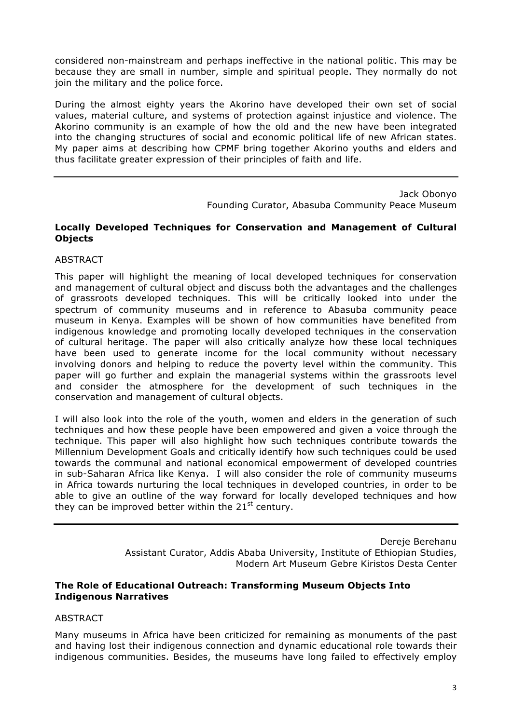considered non-mainstream and perhaps ineffective in the national politic. This may be because they are small in number, simple and spiritual people. They normally do not join the military and the police force.

During the almost eighty years the Akorino have developed their own set of social values, material culture, and systems of protection against injustice and violence. The Akorino community is an example of how the old and the new have been integrated into the changing structures of social and economic political life of new African states. My paper aims at describing how CPMF bring together Akorino youths and elders and thus facilitate greater expression of their principles of faith and life.

> Jack Obonyo Founding Curator, Abasuba Community Peace Museum

#### **Locally Developed Techniques for Conservation and Management of Cultural Objects**

#### ABSTRACT

This paper will highlight the meaning of local developed techniques for conservation and management of cultural object and discuss both the advantages and the challenges of grassroots developed techniques. This will be critically looked into under the spectrum of community museums and in reference to Abasuba community peace museum in Kenya. Examples will be shown of how communities have benefited from indigenous knowledge and promoting locally developed techniques in the conservation of cultural heritage. The paper will also critically analyze how these local techniques have been used to generate income for the local community without necessary involving donors and helping to reduce the poverty level within the community. This paper will go further and explain the managerial systems within the grassroots level and consider the atmosphere for the development of such techniques in the conservation and management of cultural objects.

I will also look into the role of the youth, women and elders in the generation of such techniques and how these people have been empowered and given a voice through the technique. This paper will also highlight how such techniques contribute towards the Millennium Development Goals and critically identify how such techniques could be used towards the communal and national economical empowerment of developed countries in sub-Saharan Africa like Kenya. I will also consider the role of community museums in Africa towards nurturing the local techniques in developed countries, in order to be able to give an outline of the way forward for locally developed techniques and how they can be improved better within the  $21<sup>st</sup>$  century.

> Dereje Berehanu Assistant Curator, Addis Ababa University, Institute of Ethiopian Studies, Modern Art Museum Gebre Kiristos Desta Center

#### **The Role of Educational Outreach: Transforming Museum Objects Into Indigenous Narratives**

#### **ABSTRACT**

Many museums in Africa have been criticized for remaining as monuments of the past and having lost their indigenous connection and dynamic educational role towards their indigenous communities. Besides, the museums have long failed to effectively employ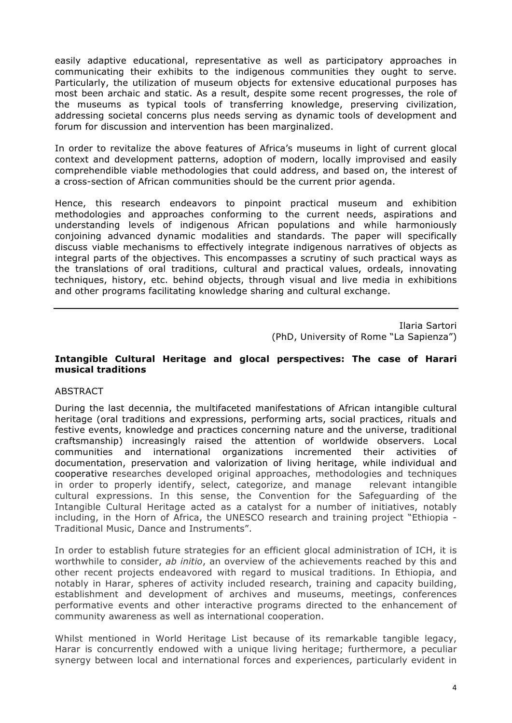easily adaptive educational, representative as well as participatory approaches in communicating their exhibits to the indigenous communities they ought to serve. Particularly, the utilization of museum objects for extensive educational purposes has most been archaic and static. As a result, despite some recent progresses, the role of the museums as typical tools of transferring knowledge, preserving civilization, addressing societal concerns plus needs serving as dynamic tools of development and forum for discussion and intervention has been marginalized.

In order to revitalize the above features of Africa's museums in light of current glocal context and development patterns, adoption of modern, locally improvised and easily comprehendible viable methodologies that could address, and based on, the interest of a cross-section of African communities should be the current prior agenda.

Hence, this research endeavors to pinpoint practical museum and exhibition methodologies and approaches conforming to the current needs, aspirations and understanding levels of indigenous African populations and while harmoniously conjoining advanced dynamic modalities and standards. The paper will specifically discuss viable mechanisms to effectively integrate indigenous narratives of objects as integral parts of the objectives. This encompasses a scrutiny of such practical ways as the translations of oral traditions, cultural and practical values, ordeals, innovating techniques, history, etc. behind objects, through visual and live media in exhibitions and other programs facilitating knowledge sharing and cultural exchange.

> Ilaria Sartori (PhD, University of Rome "La Sapienza")

#### **Intangible Cultural Heritage and glocal perspectives: The case of Harari musical traditions**

#### **ABSTRACT**

During the last decennia, the multifaceted manifestations of African intangible cultural heritage (oral traditions and expressions, performing arts, social practices, rituals and festive events, knowledge and practices concerning nature and the universe, traditional craftsmanship) increasingly raised the attention of worldwide observers. Local communities and international organizations incremented their activities of documentation, preservation and valorization of living heritage, while individual and cooperative researches developed original approaches, methodologies and techniques in order to properly identify, select, categorize, and manage relevant intangible cultural expressions. In this sense, the Convention for the Safeguarding of the Intangible Cultural Heritage acted as a catalyst for a number of initiatives, notably including, in the Horn of Africa, the UNESCO research and training project "Ethiopia - Traditional Music, Dance and Instruments".

In order to establish future strategies for an efficient glocal administration of ICH, it is worthwhile to consider, *ab initio*, an overview of the achievements reached by this and other recent projects endeavored with regard to musical traditions. In Ethiopia, and notably in Harar, spheres of activity included research, training and capacity building, establishment and development of archives and museums, meetings, conferences performative events and other interactive programs directed to the enhancement of community awareness as well as international cooperation.

Whilst mentioned in World Heritage List because of its remarkable tangible legacy, Harar is concurrently endowed with a unique living heritage; furthermore, a peculiar synergy between local and international forces and experiences, particularly evident in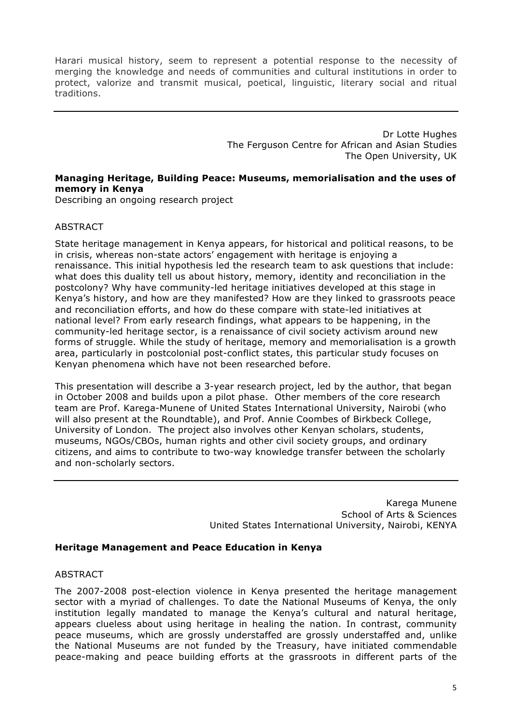Harari musical history, seem to represent a potential response to the necessity of merging the knowledge and needs of communities and cultural institutions in order to protect, valorize and transmit musical, poetical, linguistic, literary social and ritual traditions.

> Dr Lotte Hughes The Ferguson Centre for African and Asian Studies The Open University, UK

#### **Managing Heritage, Building Peace: Museums, memorialisation and the uses of memory in Kenya**

Describing an ongoing research project

#### ABSTRACT

State heritage management in Kenya appears, for historical and political reasons, to be in crisis, whereas non-state actors' engagement with heritage is enjoying a renaissance. This initial hypothesis led the research team to ask questions that include: what does this duality tell us about history, memory, identity and reconciliation in the postcolony? Why have community-led heritage initiatives developed at this stage in Kenya's history, and how are they manifested? How are they linked to grassroots peace and reconciliation efforts, and how do these compare with state-led initiatives at national level? From early research findings, what appears to be happening, in the community-led heritage sector, is a renaissance of civil society activism around new forms of struggle. While the study of heritage, memory and memorialisation is a growth area, particularly in postcolonial post-conflict states, this particular study focuses on Kenyan phenomena which have not been researched before.

This presentation will describe a 3-year research project, led by the author, that began in October 2008 and builds upon a pilot phase. Other members of the core research team are Prof. Karega-Munene of United States International University, Nairobi (who will also present at the Roundtable), and Prof. Annie Coombes of Birkbeck College, University of London. The project also involves other Kenyan scholars, students, museums, NGOs/CBOs, human rights and other civil society groups, and ordinary citizens, and aims to contribute to two-way knowledge transfer between the scholarly and non-scholarly sectors.

> Karega Munene School of Arts & Sciences United States International University, Nairobi, KENYA

#### **Heritage Management and Peace Education in Kenya**

#### ABSTRACT

The 2007-2008 post-election violence in Kenya presented the heritage management sector with a myriad of challenges. To date the National Museums of Kenya, the only institution legally mandated to manage the Kenya's cultural and natural heritage, appears clueless about using heritage in healing the nation. In contrast, community peace museums, which are grossly understaffed are grossly understaffed and, unlike the National Museums are not funded by the Treasury, have initiated commendable peace-making and peace building efforts at the grassroots in different parts of the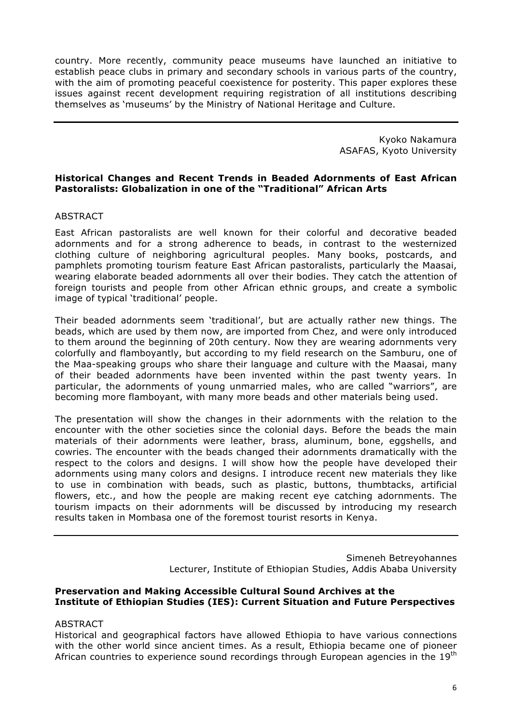country. More recently, community peace museums have launched an initiative to establish peace clubs in primary and secondary schools in various parts of the country, with the aim of promoting peaceful coexistence for posterity. This paper explores these issues against recent development requiring registration of all institutions describing themselves as 'museums' by the Ministry of National Heritage and Culture.

> Kyoko Nakamura ASAFAS, Kyoto University

#### **Historical Changes and Recent Trends in Beaded Adornments of East African Pastoralists: Globalization in one of the "Traditional" African Arts**

#### ABSTRACT

East African pastoralists are well known for their colorful and decorative beaded adornments and for a strong adherence to beads, in contrast to the westernized clothing culture of neighboring agricultural peoples. Many books, postcards, and pamphlets promoting tourism feature East African pastoralists, particularly the Maasai, wearing elaborate beaded adornments all over their bodies. They catch the attention of foreign tourists and people from other African ethnic groups, and create a symbolic image of typical 'traditional' people.

Their beaded adornments seem 'traditional', but are actually rather new things. The beads, which are used by them now, are imported from Chez, and were only introduced to them around the beginning of 20th century. Now they are wearing adornments very colorfully and flamboyantly, but according to my field research on the Samburu, one of the Maa-speaking groups who share their language and culture with the Maasai, many of their beaded adornments have been invented within the past twenty years. In particular, the adornments of young unmarried males, who are called "warriors", are becoming more flamboyant, with many more beads and other materials being used.

The presentation will show the changes in their adornments with the relation to the encounter with the other societies since the colonial days. Before the beads the main materials of their adornments were leather, brass, aluminum, bone, eggshells, and cowries. The encounter with the beads changed their adornments dramatically with the respect to the colors and designs. I will show how the people have developed their adornments using many colors and designs. I introduce recent new materials they like to use in combination with beads, such as plastic, buttons, thumbtacks, artificial flowers, etc., and how the people are making recent eye catching adornments. The tourism impacts on their adornments will be discussed by introducing my research results taken in Mombasa one of the foremost tourist resorts in Kenya.

> Simeneh Betreyohannes Lecturer, Institute of Ethiopian Studies, Addis Ababa University

#### **Preservation and Making Accessible Cultural Sound Archives at the Institute of Ethiopian Studies (IES): Current Situation and Future Perspectives**

#### ABSTRACT

Historical and geographical factors have allowed Ethiopia to have various connections with the other world since ancient times. As a result, Ethiopia became one of pioneer African countries to experience sound recordings through European agencies in the  $19<sup>th</sup>$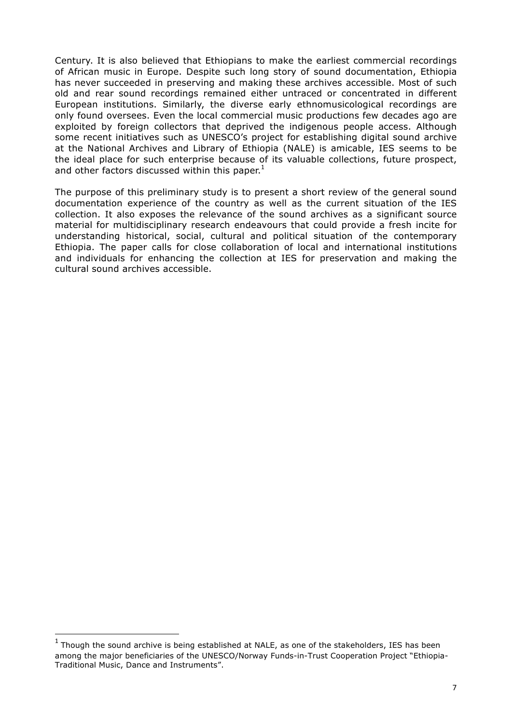Century. It is also believed that Ethiopians to make the earliest commercial recordings of African music in Europe. Despite such long story of sound documentation, Ethiopia has never succeeded in preserving and making these archives accessible. Most of such old and rear sound recordings remained either untraced or concentrated in different European institutions. Similarly, the diverse early ethnomusicological recordings are only found oversees. Even the local commercial music productions few decades ago are exploited by foreign collectors that deprived the indigenous people access. Although some recent initiatives such as UNESCO's project for establishing digital sound archive at the National Archives and Library of Ethiopia (NALE) is amicable, IES seems to be the ideal place for such enterprise because of its valuable collections, future prospect, and other factors discussed within this paper. $^1$ 

The purpose of this preliminary study is to present a short review of the general sound documentation experience of the country as well as the current situation of the IES collection. It also exposes the relevance of the sound archives as a significant source material for multidisciplinary research endeavours that could provide a fresh incite for understanding historical, social, cultural and political situation of the contemporary Ethiopia. The paper calls for close collaboration of local and international institutions and individuals for enhancing the collection at IES for preservation and making the cultural sound archives accessible.

<sup>1</sup> Though the sound archive is being established at NALE, as one of the stakeholders, IES has been among the major beneficiaries of the UNESCO/Norway Funds-in-Trust Cooperation Project "Ethiopia-Traditional Music, Dance and Instruments".